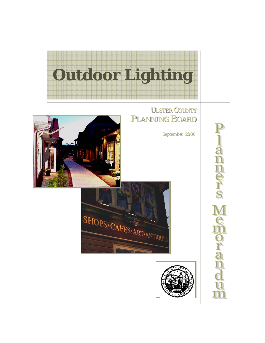

# ULSTER COUNTY PLANNING BOARD

September September 2000







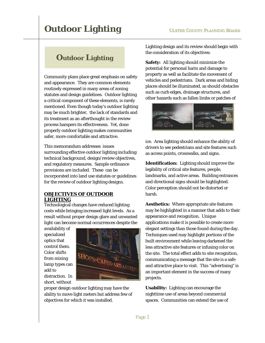# **Outdoor Lighting**

Community plans place great emphasis on safety and appearance. They are common elements routinely expressed in many areas of zoning statutes and design guidelines. Outdoor lighting a critical component of these elements, is rarely mentioned. Even though today's outdoor lighting may be much brighter, the lack of standards and its treatment as an afterthought in the review process hampers its effectiveness. Yet, done properly outdoor lighting makes communities safer, more comfortable and attractive.

This memorandum addresses issues surrounding effective outdoor lighting including: technical background, design/review objectives, and regulatory measures. Sample ordinance provisions are included. These can be incorporated into land use statutes or guidelines for the review of outdoor lighting designs.

# **OBJECTIVES OF OUTDOOR LIGHTING**

Technological changes have reduced lighting costs while bringing increased light levels. As a result without proper design glare and unwanted light can become normal occurrences despite the

availability of specialized optics that control them. Color shifts from mixing lamp types can add to distraction. In short, without



proper design outdoor lighting may have the ability to move light meters but address few of objectives for which it was installed.

Lighting design and its review should begin with the consideration of its objectives:

**Safety:** All lighting should minimize the potential for personal harm and damage to property as well as facilitate the movement of vehicles and pedestrians. Dark areas and hiding places should be illuminated, as should obstacles such as curb edges, drainage structures, and other hazards such as fallen limbs or patches of



ice. Area lighting should enhance the ability of drivers to see pedestrians and site features such as access points, crosswalks, and signs.

**Identification:** Lighting should improve the legibility of critical site features, people, landmarks, and active areas. Building entrances and directional signs should be highlighted. Color perception should not be distorted or harsh.

**Aesthetics:** Where appropriate site features may be highlighted in a manner that adds to their appearance and recognition. Unique applications make it is possible to create more elegant settings than those found during the day. Techniques used may highlight portions of the built environment while leaving darkened the less attractive site features or infusing color on the site. The total effect adds to site recognition, communicating a message that the site is a safe and attractive place to visit. This "advertising" is an important element in the success of many projects.

**Usability:** Lighting can encourage the nighttime use of areas beyond commercial spaces. Communities can extend the use of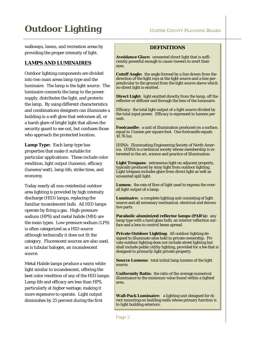walkways, lawns, and recreation areas by providing the proper intensity of light.

# **LAMPS AND LUMINAIRES**

Outdoor lighting components are divided into two main areas lamp type and the luminaire. The lamp is the light source. The luminaire connects the lamp to the power supply, distributes the light, and protects the lamp. By using different characteristics and combinations designers can illuminate a building in a soft glow that welcomes all, or a harsh glare of bright light that allows the security guard to see out, but confuses those who approach the protected location.

**Lamp Type:** Each lamp type has properties that make it suitable for particular applications. These include color rendition, light output (lumens), efficacy (lumens/watt), lamp life, strike time, and economy*.* 

Today nearly all non-residential outdoor area lighting is provided by high intensity discharge (HID) lamps, replacing the familiar incandescent bulb. All HID lamps operate by firing a gas. High-pressure sodium (HPS) and metal halide (MH) are the main types. Low-pressure sodium (LPS) is often categorized as a HID source although technically it does not fit the category. Fluorescent sources are also used, as is tubular halogen, an incandescent source.

Metal Halide lamps produce a warm white light similar to incandescent, offering the best color rendition of any of the HID lamps. Lamp life and efficacy are less than HPS, particularly at higher wattage, making it more expensive to operate. Light output diminishes by 25 percent during the first

# **DEFINITIONS**

**Avoidance Glare:** unwanted direct light that is sufficiently powerful enough to cause viewers to avert their eyes.

**Cutoff Angle:** the angle formed by a line drawn from the direction of the light rays at the light source and a line perpendicular to the ground from the light source above which no direct light is emitted.

**Direct Light:** light emitted directly from the lamp, off the reflector or diffuser and through the lens of the luminaire.

Efficacy: the total light output of a light source divided by the total input power. Efficacy is expressed in lumens per watt.

**Footcandle:** a unit of illumination produced on a surface, equal to 1 lumen per square foot. One footcandle equals 10.76 lux.

IESNA: Illuminating Engineering Society of North America. IESNA is a technical society whose membership is interested in the art, science and practice of illumination.

**Light Trespass:** extraneous light on adjacent property, typically produced by stray light from outdoor lighting. Light trespass includes glare from direct light as well as unwanted spill light.

**Lumen:** the rate of flow of light used to express the overall light output of a lamp.

**Luminaire:** a complete lighting unit consisting of light source and all necessary mechanical, electrical and decorative parts.

**Parabolic aluminized reflector lamps (PAR's):** any lamp type with a hard glass bulb, an interior reflection surface and a lens to control beam spread.

**Private Outdoor Lighting:** All outdoor lighting designed to illuminate sites held in private ownership. Private outdoor lighting does not include street lighting but shall include public utility lighting, provided for a fee that is designed to primarily light private property.

**Source Lumens:** total initial lamp lumens of the light source.

**Uniformity Ratio:** the ratio of the average numerical illuminance to the minimum value found within a lighted area.

**Wall-Pack Luminaire:** a lighting unit designed for direct mounting on building walls whose primary function is to light building exteriors.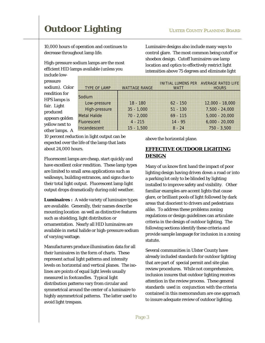10,000 hours of operation and continues to decrease throughout lamp life.

High-pressure sodium lamps are the most efficient HID lamps available (unless you

Sodium

Luminaire designs also include many ways to control glare. The most common being cutoff or shoebox design. Cutoff luminaires use lamp location and optics to effectively restrict light intensities above 75 degrees and eliminate light

INITIAL LUMENS PER AVERAGE RATED LIFE

**HOURS** 

10 percent reduction in light output can be High-pressure 35 - 1,000 51 - 130 7,500 - 24,000 Metal Halide 70 - 2,000 69 - 115 5,000 - 20,000 Fluorescent 4 - 215 14 - 95 6,000 - 20,000 Incandescent 15 - 1,500 8 - 24 750 - 3,500

TYPE OF LAMP WATTAGE RANGE

expected over the life of the lamp that lasts about 24,000 hours.

Fluorescent lamps are cheap, start quickly and have excellent color rendition. These lamp types are limited to small area applications such as walkways, building entrances, and signs due to their total light output. Fluorescent lamp light output drops dramatically during cold weather.

**Luminaires :** A wide variety of luminaire types are available. Generally, their names describe mounting location as well as distinctive features such as shielding, light distribution or ornamentation. Nearly all HID luminaires are available in metal halide or high-pressure sodium of varying wattage.

Manufacturers produce illumination data for all their luminaires in the form of charts. These represent actual light patterns and intensity levels on horizontal and vertical planes. The isolines are points of equal light levels usually measured in footcandles. Typical light distribution patterns vary from circular and symmetrical around the center of a luminaire to highly asymmetrical patterns. The latter used to avoid light trespass.

above the horizontal plane.

Low-pressure 18 - 180 62 - 150 12,000 - 18,000

WATT

# **EFFECTIVE OUTDOOR LIGHTING DESIGN**

Many of us know first hand the impact of poor lighting design having driven down a road or into a parking lot only to be blinded by lighting installed to improve safety and visibility. Other familiar examples are accent lights that cause glare, or brilliant pools of light followed by dark areas that disorient to drivers and pedestrians alike. To address these problems zoning regulations or design guidelines can articulate criteria in the design of outdoor lighting. The following sections identify these criteria and provide sample language for inclusion in a zoning statute.

Several communities in Ulster County have already included standards for outdoor lighting that are part of special permit and site plan review procedures. While not comprehensive, inclusion insures that outdoor lighting receives attention in the review process. These general standards used in conjunction with the criteria contained in this memorandum are one approach to insure adequate review of outdoor lighting*.*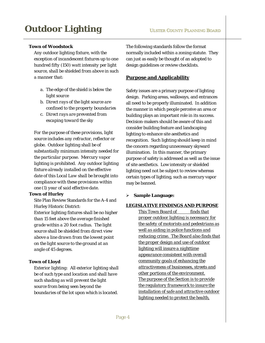### **Town of Woodstock**

*Any outdoor lighting fixture, with the exception of incandescent fixtures up to one hundred fifty (150) watt intensity per light source, shall be shielded from above in such a manner that:* 

- *a. The edge of the shield is below the light source*
- *b. Direct rays of the light source are confined to the property boundaries*
- *c. Direct rays are prevented from escaping toward the sky*

*For the purpose of these provisions, light source includes any refractor, reflector or globe. Outdoor lighting shall be of substantially minimum intensity needed for the particular purpose. Mercury vapor lighting is prohibited. Any outdoor lighting fixture already installed on the effective date of this Local Law shall be brought into compliance with these provisions within one (1) year of said effective date.* 

#### **Town of Hurley**

Site Plan Review Standards for the A-4 and Hurley Historic District:

*Exterior lighting fixtures shall be no higher than 15 feet above the average finished grade within a 20 foot radius. The light source shall be shielded from direct view above a line drawn from the lowest point on the light source to the ground at an angle of 45 degrees.* 

### **Town of Lloyd**

*Exterior lighting: All exterior lighting shall be of such type and location and shall have such shading as will prevent the light source from being seen beyond the boundaries of the lot upon which is located*.

The following standards follow the format normally included within a zoning statute. They can just as easily be thought of an adopted to design guidelines or review checklists.

### **Purpose and Applicability**

Safety issues are a primary purpose of lighting design. Parking areas, walkways, and entrances all need to be properly illuminated. In addition the manner in which people perceive an area or building plays an important role in its success. Decision-makers should be aware of this and consider building feature and landscaping lighting to enhance site aesthetics and recognition. Such lighting should keep in mind the concern regarding unnecessary skyward illumination. In this manner, the primary purpose of safety is addressed as well as the issue of site aesthetics. Low intensity or shielded lighting need not be subject to review whereas certain types of lighting, such as mercury vapor may be banned.

### ¾ **Sample Language:**

#### *LEGISLATIVE FINDINGS AND PURPOSE*

**This Town Board of finds that** *proper outdoor lighting is necessary for the safety of motorists and pedestrians as well as aiding in police functions and reducing crime. The Board also finds that the proper design and use of outdoor lighting will insure a nighttime appearance consistent with overall community goals of enhancing the attractiveness of businesses, streets and other portions of the environment. The purpose of the Section is to provide the regulatory framework to insure the installation of safe and attractive outdoor lighting needed to protect the health,*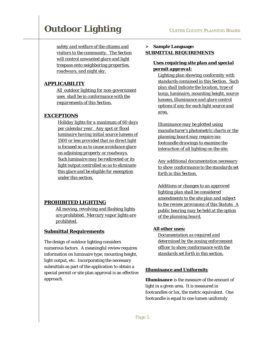*safety and welfare of the citizens and visitors to the community. The Section will control unwanted glare and light trespass onto neighboring properties, roadways, and night sky.*

# *APPLICABILITY*

*All outdoor lighting for non-government uses shall be in conformance with the requirements of this Section.*

# *EXCEPTIONS*

*Holiday lights for a maximum of 60 days per calendar year. Any spot or flood luminaire having initial source lumens of 1500 or less provided that no direct light is focused so as to cause avoidance glare on adjoining property or roadways. Such luminaire may be redirected or its light output controlled so as to eliminate this glare and be eligible for exemption under this section.*

# *PROHIBITED LIGHTING*

*All moving, revolving and flashing lights are prohibited. Mercury vapor lights are prohibited.*

# **Submittal Requirements**

The design of outdoor lighting considers numerous factors. A meaningful review requires information on luminaire type, mounting height, light output, etc. Incorporating the necessary submittals as part of the application to obtain a special permit or site plan approval is an effective approach*.* 

# ¾ **Sample Language:** *SUBMITTAL REQUIREMENTS*

# *Uses requiring site plan and special permit approval:*

*Lighting plan showing conformity with standards contained in this Section. Such plan shall indicate the location, type of lamp, luminaire, mounting height, source lumens, illuminance and glare control options if any for each light source and area.* 

*Illuminance may be plotted using manufacturer's photometric charts or the planning board may require isofootcandle drawings to examine the interaction of all lighting on the site.* 

*Any additional documentation necessary to show conformance to the standards set forth in this Section.*

*Additions or changes to an approved lighting plan shall be considered amendments to the site plan and subject to the review provisions of this Statute. A public hearing may be held at the option of the planning board.*

### *All other uses:*

*Documentation as required and determined by the zoning enforcement officer to show conformance with the standards set forth in this section.*

### **Illuminance and Uniformity**

**Illuminance** is the measure of the amount of light in a given area. It is measured in footcandles or lux, the metric equivalent. One footcandle is equal to one lumen uniformly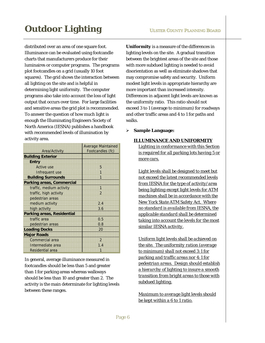distributed over an area of one square foot. Illuminance can be evaluated using footcandle charts that manufacturers produce for their luminaires or computer programs. The programs plot footcandles on a grid (usually 10 foot squares). The grid shows the interaction between all lighting on the site and is helpful in determining light uniformity. The computer programs also take into account the loss of light output that occurs over time. For large facilities and sensitive areas the grid plot is recommended. To answer the question of how much light is enough the Illuminating Engineers Society of North America (IESNA) publishes a handbook with recommended levels of illumination by activity area.

|                                   | <b>Average Maintained</b> |
|-----------------------------------|---------------------------|
| <b>Area/Activity</b>              | Footcandles (fc)          |
| <b>Building Exterior</b>          |                           |
| <b>Entry</b>                      |                           |
| <b>Active use</b>                 | 5                         |
| Infrequent use                    | 1                         |
| <b>Building Surrounds</b>         | 1                         |
| <b>Parking areas, Commercial</b>  |                           |
| traffic, medium activity          | 1                         |
| traffic, high activity            | $\mathcal{P}$             |
| pedestrian areas                  |                           |
| medium activity                   | 2.4                       |
| high activity                     | 3.6                       |
| <b>Parking areas, Residential</b> |                           |
| traffic area                      | 0.5                       |
| pedestrian areas                  | 0.8                       |
| <b>Loading Docks</b>              | 20                        |
| <b>Major Roads</b>                |                           |
| Commercial area                   | $\overline{2}$            |
| Intermediate area                 | 1.4                       |
| Residential area                  | 1                         |

In general, average illuminance measured in footcandles should be less than 5 and greater than 1 for parking areas whereas walkways should be less than 10 and greater than 2. The activity is the main determinate for lighting levels between these ranges.

**Uniformity** is a measure of the differences in lighting levels on the site. A gradual transition between the brightest areas of the site and those with more subdued lighting is needed to avoid disorientation as well as eliminate shadows that may compromise safety and security. Uniform modest light levels in appropriate hierarchy are more important than increased intensity. Differences in adjacent light levels are known as the uniformity ratio. This ratio should not exceed 3 to 1 (average to minimum) for roadways and other traffic areas and 4 to 1 for paths and walks*.* 

¾ **Sample Language:**

#### *ILLUMINANCE AND UNIFORMITY*

*Lighting in conformance with this Section is required for all parking lots having 5 or more cars.*

*Light levels shall be designed to meet but not exceed the latest recommended levels from IESNA for the type of activity/area being lighting except light levels for ATM machines shall be in accordance with the New York State ATM Safety Act. Where no standard is available from IESNA, the applicable standard shall be determined taking into account the levels for the most similar IESNA activity.*

*Uniform light levels shall be achieved on the site. The uniformity ration (average to minimum) shall not exceed 3:1 for parking and traffic areas nor 4:1 for pedestrian areas. Design should establish a hierarchy of lighting to insure a smooth transition from bright areas to those with subdued lighting.*

*Maximum to average light levels should be kept within a 6 to 1 ratio.*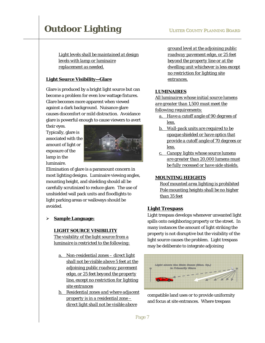*Light levels shall be maintained at design levels with lamp or luminaire replacement as needed.*

### **Light Source Visibility—Glare**

Glare is produced by a bright light source but can become a problem for even low wattage fixtures. Glare becomes more apparent when viewed against a dark background. Nuisance glare causes discomfort or mild distraction. Avoidance glare is powerful enough to cause viewers to avert

their eyes. Typically, glare is associated with the amount of light or exposure of the lamp in the luminaire.



Elimination of glare is a paramount concern in most lighting designs. Luminaire viewing angles, mounting height, and shielding should all be carefully scrutinized to reduce glare. The use of unshielded wall pack units and floodlights to light parking areas or walkways should be avoided.

#### ¾ **Sample Language:**

#### *LIGHT SOURCE VISIBILITY*

*The visibility of the light source from a luminaire is restricted to the following:*

- *a. Non-residential zones direct light shall not be visible above 5 feet at the adjoining public roadway pavement edge, or 25 feet beyond the property line, except no restriction for lighting site entrances*
- *b. Residential zones and where adjacent property is in a residential zone – direct light shall not be visible above*

*ground level at the adjoining public roadway pavement edge, or 25 feet beyond the property line or at the dwelling unit whichever is less except no restriction for lighting site entrances.*

### *LUMINAIRES*

*All luminaires whose initial source lumens are greater than 1,500 must meet the following requirements:*

- *a. Have a cutoff angle of 90 degrees of less.*
- *b. Wall-pack units are required to be opaque shielded or have optics that provide a cutoff angle of 70 degrees or less.*
- *c. Canopy lights whose source lumens are greater than 20,000 lumens must be fully recessed or have side shields.*

#### *MOUNTING HEIGHTS*

*Roof mounted area lighting is prohibited Pole mounting heights shall be no higher than 35 feet*

### **Light Trespass**

Light trespass develops whenever unwanted light spills onto neighboring property or the street. In many instances the amount of light striking the property is not disruptive but the visibility of the light source causes the problem. Light trespass may be deliberate to integrate adjoining



compatible land uses or to provide uniformity and focus at site entrances. Where trespass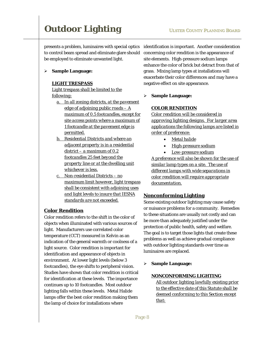presents a problem, luminaires with special optics to control beam spread and eliminate glare should be employed to eliminate unwanted light.

#### ¾ **Sample Language:**

#### *LIGHT TRESPASS*

*Light trespass shall be limited to the following:*

- *a. In all zoning districts, at the pavement edge of adjoining public roads – A maximum of 0.5 footcandles, except for site access points where a maximum of 1 footcandle at the pavement edge is permitted.*
- *b. Residential Districts and where an adjacent property is in a residential district – a maximum of 0.2 footcandles 25 feet beyond the property line or at the dwelling unit whichever is less.*
- *c. Non-residential Districts no maximum limit however, light trespass shall be consistent with adjoining uses and light levels to insure that IESNA standards are not exceeded.*

# **Color Rendition**

Color rendition refers to the shift in the color of objects when illuminated with various sources of light. Manufacturers use correlated color temperature (CCT) measured in Kelvin as an indication of the general warmth or coolness of a light source. Color rendition is important for identification and appearance of objects in environment. At lower light levels (below 3 footcandles), the eye shifts to peripheral vision. Studies have shown that color rendition is critical for identification at these levels. The importance continues up to 10 footcandles. Most outdoor lighting falls within these levels. Metal Halide lamps offer the best color rendition making them the lamp of choice for installations where

identification is important. Another consideration concerning color rendition is the appearance of site elements. High-pressure sodium lamps enhance the color of brick but detract from that of grass. Mixing lamp types at installations will exacerbate their color differences and may have a negative effect on site appearance.

#### ¾ **Sample Language:**

#### *COLOR RENDITION*

*Color rendition will be considered in approving lighting designs. For larger area applications the following lamps are listed in order of preference:*

- *Metal halide*
- *High-pressure sodium*
- *Low-pressure sodium*

*A preference will also be shown for the use of similar lamp types on a site. The use of different lamps with wide separations in color rendition will require appropriate documentation.*

#### **Nonconforming Lighting**

Some existing outdoor lighting may cause safety or nuisance problems for a community. Remedies to these situations are usually not costly and can be more than adequately justified under the protection of public health, safety and welfare. The goal is to target those lights that create these problems as well as achieve gradual compliance with outdoor lighting standards over time as luminaires are replaced.

¾ **Sample Language:**

#### *NONCONFORMING LIGHTING*

*All outdoor lighting lawfully existing prior to the effective date of this Statute shall be deemed conforming to this Section except that:*